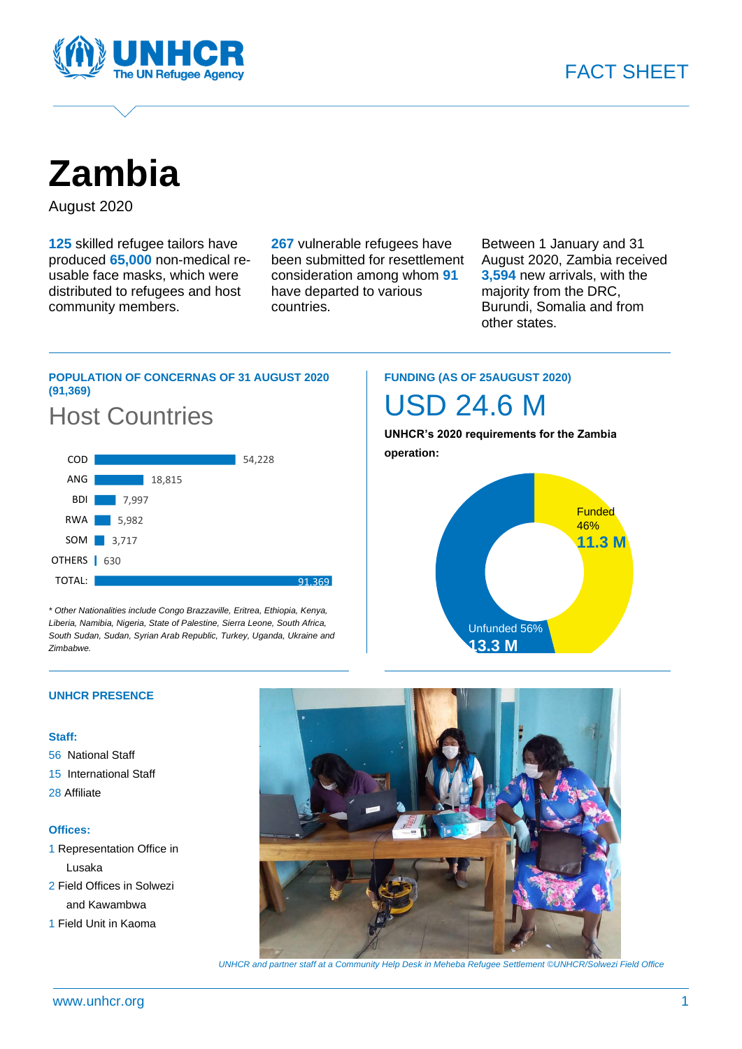

**Zambia**

August 2020

**125** skilled refugee tailors have produced **65,000** non-medical reusable face masks, which were distributed to refugees and host community members.

**267** vulnerable refugees have been submitted for resettlement consideration among whom **91** have departed to various countries.

91,369

Between 1 January and 31 August 2020, Zambia received **3,594** new arrivals, with the majority from the DRC, Burundi, Somalia and from other states.

# **POPULATION OF CONCERNAS OF 31 AUGUST 2020 (91,369)**



*\* Other Nationalities include Congo Brazzaville, Eritrea, Ethiopia, Kenya, Liberia, Namibia, Nigeria, State of Palestine, Sierra Leone, South Africa, South Sudan, Sudan, Syrian Arab Republic, Turkey, Uganda, Ukraine and Zimbabwe.*

# **FUNDING (AS OF 25AUGUST 2020)**

USD 24.6 M

**UNHCR's 2020 requirements for the Zambia operation:**



# **UNHCR PRESENCE**

# **Staff:**

TOTAL:

- 56 National Staff
- 15 International Staff
- 28 Affiliate

# **Offices:**

- 1 Representation Office in Lusaka 2 Field Offices in Solwezi
- and Kawambwa
- 1 Field Unit in Kaoma



*UNHCR and partner staff at a Community Help Desk in Meheba Refugee Settlement ©UNHCR/Solwezi Field Office*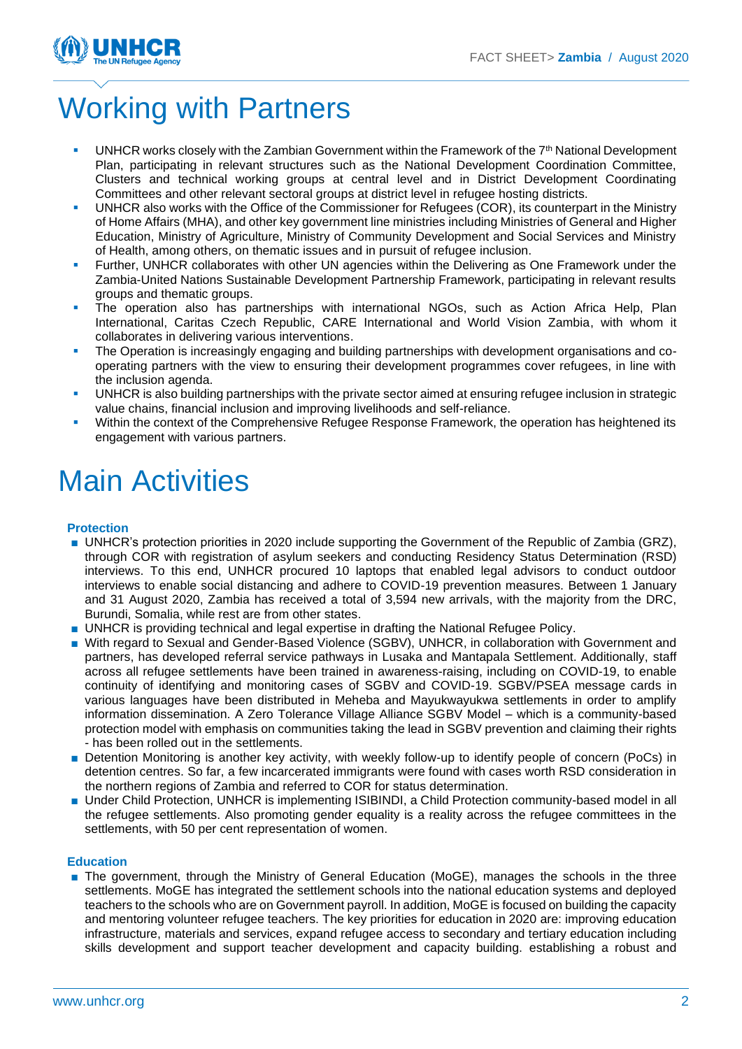

# Working with Partners

- UNHCR works closely with the Zambian Government within the Framework of the  $7<sup>th</sup>$  National Development Plan, participating in relevant structures such as the National Development Coordination Committee, Clusters and technical working groups at central level and in District Development Coordinating Committees and other relevant sectoral groups at district level in refugee hosting districts.
- UNHCR also works with the Office of the Commissioner for Refugees (COR), its counterpart in the Ministry of Home Affairs (MHA), and other key government line ministries including Ministries of General and Higher Education, Ministry of Agriculture, Ministry of Community Development and Social Services and Ministry of Health, among others, on thematic issues and in pursuit of refugee inclusion.
- Further, UNHCR collaborates with other UN agencies within the Delivering as One Framework under the Zambia-United Nations Sustainable Development Partnership Framework, participating in relevant results groups and thematic groups.
- The operation also has partnerships with international NGOs, such as Action Africa Help, Plan International, Caritas Czech Republic, CARE International and World Vision Zambia, with whom it collaborates in delivering various interventions.
- **•** The Operation is increasingly engaging and building partnerships with development organisations and cooperating partners with the view to ensuring their development programmes cover refugees, in line with the inclusion agenda.
- UNHCR is also building partnerships with the private sector aimed at ensuring refugee inclusion in strategic value chains, financial inclusion and improving livelihoods and self-reliance.
- **•** Within the context of the Comprehensive Refugee Response Framework, the operation has heightened its engagement with various partners.

# Main Activities

# **Protection**

- UNHCR's protection priorities in 2020 include supporting the Government of the Republic of Zambia (GRZ), through COR with registration of asylum seekers and conducting Residency Status Determination (RSD) interviews. To this end, UNHCR procured 10 laptops that enabled legal advisors to conduct outdoor interviews to enable social distancing and adhere to COVID-19 prevention measures. Between 1 January and 31 August 2020, Zambia has received a total of 3,594 new arrivals, with the majority from the DRC, Burundi, Somalia, while rest are from other states.
- UNHCR is providing technical and legal expertise in drafting the National Refugee Policy.
- With regard to Sexual and Gender-Based Violence (SGBV), UNHCR, in collaboration with Government and partners, has developed referral service pathways in Lusaka and Mantapala Settlement. Additionally, staff across all refugee settlements have been trained in awareness-raising, including on COVID-19, to enable continuity of identifying and monitoring cases of SGBV and COVID-19. SGBV/PSEA message cards in various languages have been distributed in Meheba and Mayukwayukwa settlements in order to amplify information dissemination. A Zero Tolerance Village Alliance SGBV Model – which is a community-based protection model with emphasis on communities taking the lead in SGBV prevention and claiming their rights - has been rolled out in the settlements.
- Detention Monitoring is another key activity, with weekly follow-up to identify people of concern (PoCs) in detention centres. So far, a few incarcerated immigrants were found with cases worth RSD consideration in the northern regions of Zambia and referred to COR for status determination.
- Under Child Protection, UNHCR is implementing ISIBINDI, a Child Protection community-based model in all the refugee settlements. Also promoting gender equality is a reality across the refugee committees in the settlements, with 50 per cent representation of women.

# **Education**

■ The government, through the Ministry of General Education (MoGE), manages the schools in the three settlements. MoGE has integrated the settlement schools into the national education systems and deployed teachers to the schools who are on Government payroll. In addition, MoGE is focused on building the capacity and mentoring volunteer refugee teachers. The key priorities for education in 2020 are: improving education infrastructure, materials and services, expand refugee access to secondary and tertiary education including skills development and support teacher development and capacity building. establishing a robust and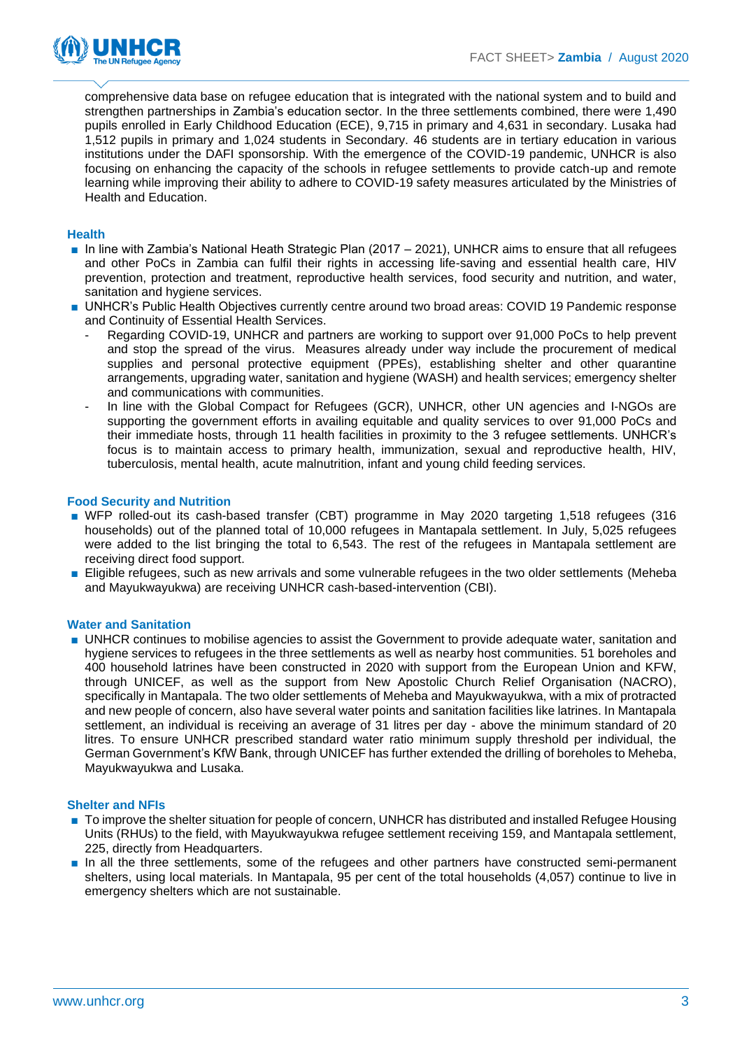

comprehensive data base on refugee education that is integrated with the national system and to build and strengthen partnerships in Zambia's education sector. In the three settlements combined, there were 1,490 pupils enrolled in Early Childhood Education (ECE), 9,715 in primary and 4,631 in secondary. Lusaka had 1,512 pupils in primary and 1,024 students in Secondary. 46 students are in tertiary education in various institutions under the DAFI sponsorship. With the emergence of the COVID-19 pandemic, UNHCR is also focusing on enhancing the capacity of the schools in refugee settlements to provide catch-up and remote learning while improving their ability to adhere to COVID-19 safety measures articulated by the Ministries of Health and Education.

### **Health**

- In line with Zambia's National Heath Strategic Plan (2017 2021), UNHCR aims to ensure that all refugees and other PoCs in Zambia can fulfil their rights in accessing life-saving and essential health care, HIV prevention, protection and treatment, reproductive health services, food security and nutrition, and water, sanitation and hygiene services.
- UNHCR's Public Health Objectives currently centre around two broad areas: COVID 19 Pandemic response and Continuity of Essential Health Services.
	- Regarding COVID-19, UNHCR and partners are working to support over 91,000 PoCs to help prevent and stop the spread of the virus. Measures already under way include the procurement of medical supplies and personal protective equipment (PPEs), establishing shelter and other quarantine arrangements, upgrading water, sanitation and hygiene (WASH) and health services; emergency shelter and communications with communities.
	- In line with the Global Compact for Refugees (GCR), UNHCR, other UN agencies and I-NGOs are supporting the government efforts in availing equitable and quality services to over 91,000 PoCs and their immediate hosts, through 11 health facilities in proximity to the 3 refugee settlements. UNHCR's focus is to maintain access to primary health, immunization, sexual and reproductive health, HIV, tuberculosis, mental health, acute malnutrition, infant and young child feeding services.

#### **Food Security and Nutrition**

- WFP rolled-out its cash-based transfer (CBT) programme in May 2020 targeting 1,518 refugees (316 households) out of the planned total of 10,000 refugees in Mantapala settlement. In July, 5,025 refugees were added to the list bringing the total to 6,543. The rest of the refugees in Mantapala settlement are receiving direct food support.
- Eligible refugees, such as new arrivals and some vulnerable refugees in the two older settlements (Meheba and Mayukwayukwa) are receiving UNHCR cash-based-intervention (CBI).

#### **Water and Sanitation**

■ UNHCR continues to mobilise agencies to assist the Government to provide adequate water, sanitation and hygiene services to refugees in the three settlements as well as nearby host communities. 51 boreholes and 400 household latrines have been constructed in 2020 with support from the European Union and KFW, through UNICEF, as well as the support from New Apostolic Church Relief Organisation (NACRO), specifically in Mantapala. The two older settlements of Meheba and Mayukwayukwa, with a mix of protracted and new people of concern, also have several water points and sanitation facilities like latrines. In Mantapala settlement, an individual is receiving an average of 31 litres per day - above the minimum standard of 20 litres. To ensure UNHCR prescribed standard water ratio minimum supply threshold per individual, the German Government's KfW Bank, through UNICEF has further extended the drilling of boreholes to Meheba, Mayukwayukwa and Lusaka.

#### **Shelter and NFIs**

- To improve the shelter situation for people of concern, UNHCR has distributed and installed Refugee Housing Units (RHUs) to the field, with Mayukwayukwa refugee settlement receiving 159, and Mantapala settlement, 225, directly from Headquarters.
- In all the three settlements, some of the refugees and other partners have constructed semi-permanent shelters, using local materials. In Mantapala, 95 per cent of the total households (4,057) continue to live in emergency shelters which are not sustainable.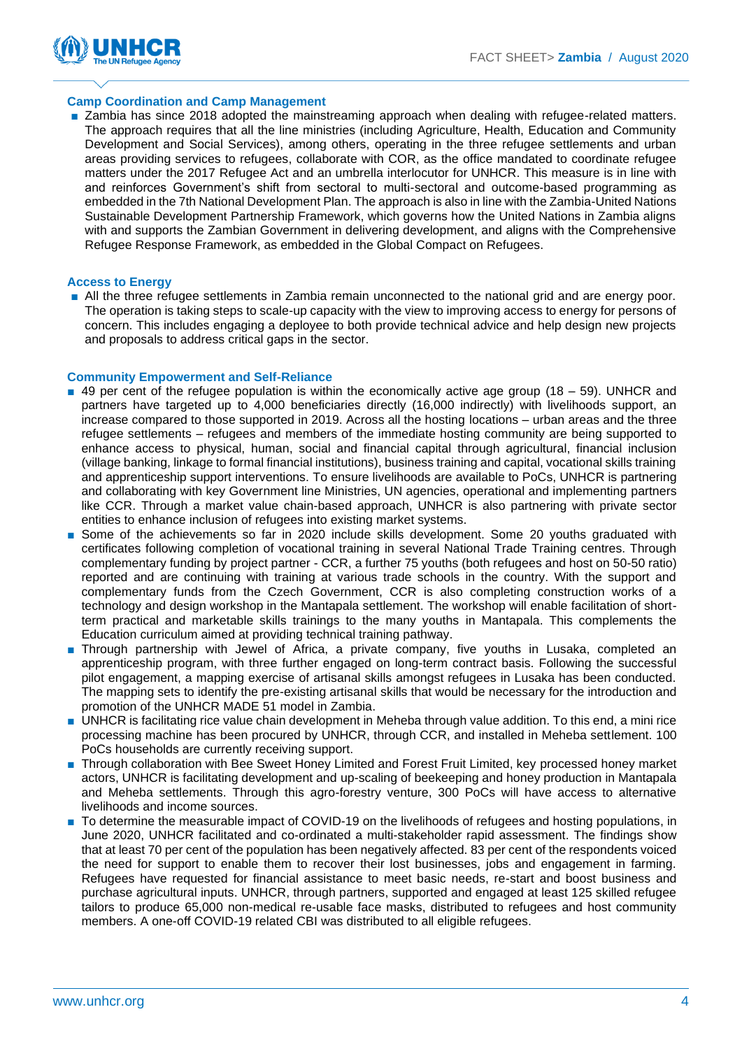

### **Camp Coordination and Camp Management**

■ Zambia has since 2018 adopted the mainstreaming approach when dealing with refugee-related matters. The approach requires that all the line ministries (including Agriculture, Health, Education and Community Development and Social Services), among others, operating in the three refugee settlements and urban areas providing services to refugees, collaborate with COR, as the office mandated to coordinate refugee matters under the 2017 Refugee Act and an umbrella interlocutor for UNHCR. This measure is in line with and reinforces Government's shift from sectoral to multi-sectoral and outcome-based programming as embedded in the 7th National Development Plan. The approach is also in line with the Zambia-United Nations Sustainable Development Partnership Framework, which governs how the United Nations in Zambia aligns with and supports the Zambian Government in delivering development, and aligns with the Comprehensive Refugee Response Framework, as embedded in the Global Compact on Refugees.

#### **Access to Energy**

■ All the three refugee settlements in Zambia remain unconnected to the national grid and are energy poor. The operation is taking steps to scale-up capacity with the view to improving access to energy for persons of concern. This includes engaging a deployee to both provide technical advice and help design new projects and proposals to address critical gaps in the sector.

#### **Community Empowerment and Self-Reliance**

- $\Box$  49 per cent of the refugee population is within the economically active age group (18 59). UNHCR and partners have targeted up to 4,000 beneficiaries directly (16,000 indirectly) with livelihoods support, an increase compared to those supported in 2019. Across all the hosting locations – urban areas and the three refugee settlements – refugees and members of the immediate hosting community are being supported to enhance access to physical, human, social and financial capital through agricultural, financial inclusion (village banking, linkage to formal financial institutions), business training and capital, vocational skills training and apprenticeship support interventions. To ensure livelihoods are available to PoCs, UNHCR is partnering and collaborating with key Government line Ministries, UN agencies, operational and implementing partners like CCR. Through a market value chain-based approach, UNHCR is also partnering with private sector entities to enhance inclusion of refugees into existing market systems.
- Some of the achievements so far in 2020 include skills development. Some 20 youths graduated with certificates following completion of vocational training in several National Trade Training centres. Through complementary funding by project partner - CCR, a further 75 youths (both refugees and host on 50-50 ratio) reported and are continuing with training at various trade schools in the country. With the support and complementary funds from the Czech Government, CCR is also completing construction works of a technology and design workshop in the Mantapala settlement. The workshop will enable facilitation of shortterm practical and marketable skills trainings to the many youths in Mantapala. This complements the Education curriculum aimed at providing technical training pathway.
- Through partnership with Jewel of Africa, a private company, five youths in Lusaka, completed an apprenticeship program, with three further engaged on long-term contract basis. Following the successful pilot engagement, a mapping exercise of artisanal skills amongst refugees in Lusaka has been conducted. The mapping sets to identify the pre-existing artisanal skills that would be necessary for the introduction and promotion of the UNHCR MADE 51 model in Zambia.
- UNHCR is facilitating rice value chain development in Meheba through value addition. To this end, a mini rice processing machine has been procured by UNHCR, through CCR, and installed in Meheba settlement. 100 PoCs households are currently receiving support.
- Through collaboration with Bee Sweet Honey Limited and Forest Fruit Limited, key processed honey market actors, UNHCR is facilitating development and up-scaling of beekeeping and honey production in Mantapala and Meheba settlements. Through this agro-forestry venture, 300 PoCs will have access to alternative livelihoods and income sources.
- To determine the measurable impact of COVID-19 on the livelihoods of refugees and hosting populations, in June 2020, UNHCR facilitated and co-ordinated a multi-stakeholder rapid assessment. The findings show that at least 70 per cent of the population has been negatively affected. 83 per cent of the respondents voiced the need for support to enable them to recover their lost businesses, jobs and engagement in farming. Refugees have requested for financial assistance to meet basic needs, re-start and boost business and purchase agricultural inputs. UNHCR, through partners, supported and engaged at least 125 skilled refugee tailors to produce 65,000 non-medical re-usable face masks, distributed to refugees and host community members. A one-off COVID-19 related CBI was distributed to all eligible refugees.